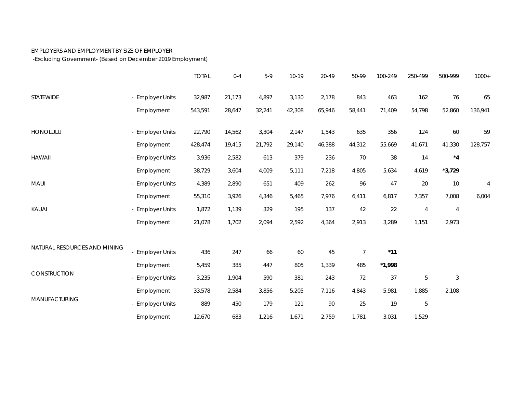## EMPLOYERS AND EMPLOYMENT BY SIZE OF EMPLOYER

-Excluding Government- (Based on December 2019 Employment)

|                              |                  | <b>TOTAL</b> | $0 - 4$ | $5-9$  | $10 - 19$ | 20-49  | 50-99          | 100-249  | 250-499        | 500-999        | $1000+$ |
|------------------------------|------------------|--------------|---------|--------|-----------|--------|----------------|----------|----------------|----------------|---------|
| STATEWIDE                    | - Employer Units | 32,987       | 21,173  | 4,897  | 3,130     | 2,178  | 843            | 463      | 162            | 76             | 65      |
|                              | Employment       | 543,591      | 28,647  | 32,241 | 42,308    | 65,946 | 58,441         | 71,409   | 54,798         | 52,860         | 136,941 |
| HONOLULU                     | - Employer Units | 22,790       | 14,562  | 3,304  | 2,147     | 1,543  | 635            | 356      | 124            | 60             | 59      |
|                              | Employment       | 428,474      | 19,415  | 21,792 | 29,140    | 46,388 | 44,312         | 55,669   | 41,671         | 41,330         | 128,757 |
| <b>HAWAII</b>                | - Employer Units | 3,936        | 2,582   | 613    | 379       | 236    | $70$           | 38       | 14             | $^{\star}4$    |         |
|                              | Employment       | 38,729       | 3,604   | 4,009  | 5,111     | 7,218  | 4,805          | 5,634    | 4,619          | $*3,729$       |         |
| MAUI                         | - Employer Units | 4,389        | 2,890   | 651    | 409       | 262    | 96             | 47       | 20             | $10$           | 4       |
|                              | Employment       | 55,310       | 3,926   | 4,346  | 5,465     | 7,976  | 6,411          | 6,817    | 7,357          | 7,008          | 6,004   |
| KAUAI                        | - Employer Units | 1,872        | 1,139   | 329    | 195       | 137    | 42             | 22       | $\overline{4}$ | $\overline{4}$ |         |
|                              | Employment       | 21,078       | 1,702   | 2,094  | 2,592     | 4,364  | 2,913          | 3,289    | 1,151          | 2,973          |         |
| NATURAL RESOURCES AND MINING |                  |              |         |        |           |        |                |          |                |                |         |
|                              | - Employer Units | 436          | 247     | 66     | 60        | 45     | $\overline{7}$ | $*11$    |                |                |         |
| CONSTRUCTION                 | Employment       | 5,459        | 385     | 447    | 805       | 1,339  | 485            | $*1,998$ |                |                |         |
|                              | - Employer Units | 3,235        | 1,904   | 590    | 381       | 243    | 72             | 37       | 5              | $\mathfrak{Z}$ |         |
| MANUFACTURING                | Employment       | 33,578       | 2,584   | 3,856  | 5,205     | 7,116  | 4,843          | 5,981    | 1,885          | 2,108          |         |
|                              | - Employer Units | 889          | 450     | 179    | 121       | $90\,$ | 25             | 19       | 5              |                |         |
|                              | Employment       | 12,670       | 683     | 1,216  | 1,671     | 2,759  | 1,781          | 3,031    | 1,529          |                |         |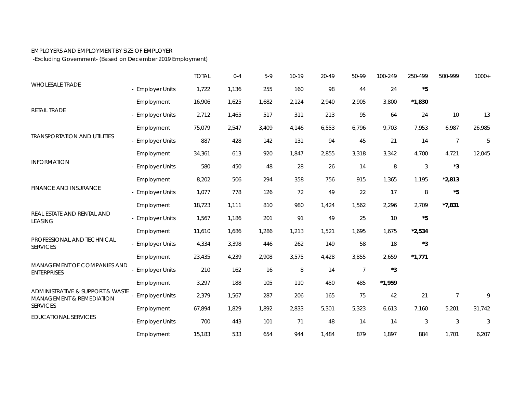## EMPLOYERS AND EMPLOYMENT BY SIZE OF EMPLOYER

-Excluding Government- (Based on December 2019 Employment)

| <b>WHOLESALE TRADE</b>                                                                             |                       | <b>TOTAL</b> | $0 - 4$ | $5-9$ | 10-19 | 20-49 | 50-99          | 100-249     | 250-499     | 500-999        | $1000+$ |
|----------------------------------------------------------------------------------------------------|-----------------------|--------------|---------|-------|-------|-------|----------------|-------------|-------------|----------------|---------|
|                                                                                                    | - Employer Units      | 1,722        | 1,136   | 255   | 160   | 98    | 44             | 24          | $^\star 5$  |                |         |
| RETAIL TRADE                                                                                       | Employment            | 16,906       | 1,625   | 1,682 | 2,124 | 2,940 | 2,905          | 3,800       | $*1,830$    |                |         |
|                                                                                                    | - Employer Units      | 2,712        | 1,465   | 517   | 311   | 213   | 95             | 64          | 24          | 10             | 13      |
| <b>TRANSPORTATION AND UTILITIES</b>                                                                | Employment            | 75,079       | 2,547   | 3,409 | 4,146 | 6,553 | 6,796          | 9,703       | 7,953       | 6,987          | 26,985  |
|                                                                                                    | - Employer Units      | 887          | 428     | 142   | 131   | 94    | 45             | 21          | 14          | $\overline{7}$ | 5       |
| <b>INFORMATION</b>                                                                                 | Employment            | 34,361       | 613     | 920   | 1,847 | 2,855 | 3,318          | 3,342       | 4,700       | 4,721          | 12,045  |
|                                                                                                    | - Employer Units      | 580          | 450     | 48    | 28    | 26    | 14             | $\, 8$      | $\sqrt{3}$  | $*3$           |         |
| <b>FINANCE AND INSURANCE</b>                                                                       | Employment            | 8,202        | 506     | 294   | 358   | 756   | 915            | 1,365       | 1,195       | $*2,813$       |         |
|                                                                                                    | - Employer Units      | 1,077        | 778     | 126   | 72    | 49    | 22             | 17          | $\, 8$      | $^\star 5$     |         |
| REAL ESTATE AND RENTAL AND<br><b>LEASING</b>                                                       | Employment            | 18,723       | 1,111   | 810   | 980   | 1,424 | 1,562          | 2,296       | 2,709       | $*7,831$       |         |
|                                                                                                    | - Employer Units      | 1,567        | 1,186   | 201   | 91    | 49    | 25             | 10          | $^{\star}5$ |                |         |
|                                                                                                    | Employment            | 11,610       | 1,686   | 1,286 | 1,213 | 1,521 | 1,695          | 1,675       | $*2,534$    |                |         |
| PROFESSIONAL AND TECHNICAL<br><b>SERVICES</b><br>MANAGEMENT OF COMPANIES AND<br><b>ENTERPRISES</b> | - Employer Units      | 4,334        | 3,398   | 446   | 262   | 149   | 58             | 18          | $*3$        |                |         |
|                                                                                                    | Employment            | 23,435       | 4,239   | 2,908 | 3,575 | 4,428 | 3,855          | 2,659       | $*1,771$    |                |         |
|                                                                                                    | - Employer Units      | 210          | 162     | 16    | 8     | 14    | $\overline{7}$ | $^{\star}3$ |             |                |         |
|                                                                                                    | Employment            | 3,297        | 188     | 105   | 110   | 450   | 485            | $*1,959$    |             |                |         |
| ADMINISTRATIVE & SUPPORT & WASTE<br><b>MANAGEMENT &amp; REMEDIATION</b><br><b>SERVICES</b>         | <b>Employer Units</b> | 2,379        | 1,567   | 287   | 206   | 165   | 75             | 42          | 21          | $\overline{7}$ | 9       |
|                                                                                                    | Employment            | 67,894       | 1,829   | 1,892 | 2,833 | 5,301 | 5,323          | 6,613       | 7,160       | 5,201          | 31,742  |
| <b>EDUCATIONAL SERVICES</b>                                                                        | - Employer Units      | 700          | 443     | 101   | 71    | 48    | 14             | 14          | 3           | 3              | 3       |
|                                                                                                    | Employment            | 15,183       | 533     | 654   | 944   | 1,484 | 879            | 1,897       | 884         | 1,701          | 6,207   |